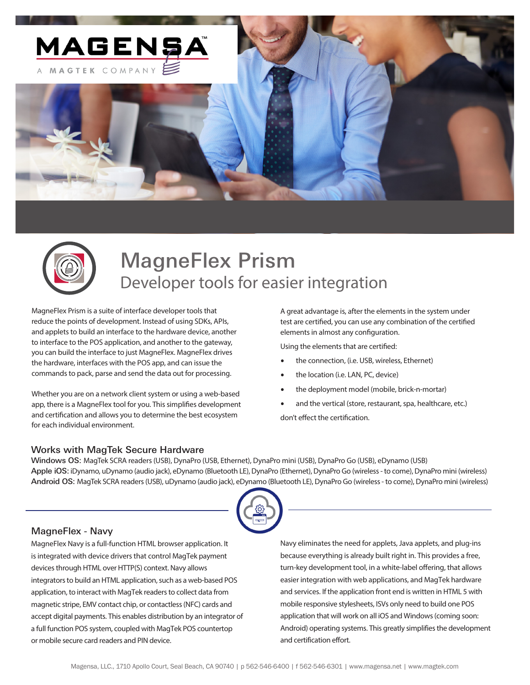



# MagneFlex Prism Developer tools for easier integration

MagneFlex Prism is a suite of interface developer tools that reduce the points of development. Instead of using SDKs, APIs, and applets to build an interface to the hardware device, another to interface to the POS application, and another to the gateway, you can build the interface to just MagneFlex. MagneFlex drives the hardware, interfaces with the POS app, and can issue the commands to pack, parse and send the data out for processing.

Whether you are on a network client system or using a web-based app, there is a MagneFlex tool for you. This simplifies development and certification and allows you to determine the best ecosystem for each individual environment.

A great advantage is, after the elements in the system under test are certified, you can use any combination of the certified elements in almost any configuration.

Using the elements that are certified:

- the connection, (i.e. USB, wireless, Ethernet)
- the location (i.e. LAN, PC, device)
- the deployment model (mobile, brick-n-mortar)
- and the vertical (store, restaurant, spa, healthcare, etc.)

don't effect the certification.

#### Works with MagTek Secure Hardware

Windows OS: MagTek SCRA readers (USB), DynaPro (USB, Ethernet), DynaPro mini (USB), DynaPro Go (USB), eDynamo (USB) Apple iOS: iDynamo, uDynamo (audio jack), eDynamo (Bluetooth LE), DynaPro (Ethernet), DynaPro Go (wireless - to come), DynaPro mini (wireless) Android OS: MagTek SCRA readers (USB), uDynamo (audio jack), eDynamo (Bluetooth LE), DynaPro Go (wireless - to come), DynaPro mini (wireless)



#### MagneFlex - Navy

MagneFlex Navy is a full-function HTML browser application. It is integrated with device drivers that control MagTek payment devices through HTML over HTTP(S) context. Navy allows integrators to build an HTML application, such as a web-based POS application, to interact with MagTek readers to collect data from magnetic stripe, EMV contact chip, or contactless (NFC) cards and accept digital payments. This enables distribution by an integrator of a full function POS system, coupled with MagTek POS countertop or mobile secure card readers and PIN device.

Navy eliminates the need for applets, Java applets, and plug-ins because everything is already built right in. This provides a free, turn-key development tool, in a white-label offering, that allows easier integration with web applications, and MagTek hardware and services. If the application front end is written in HTML 5 with mobile responsive stylesheets, ISVs only need to build one POS application that will work on all iOS and Windows (coming soon: Android) operating systems. This greatly simplifies the development and certification effort.